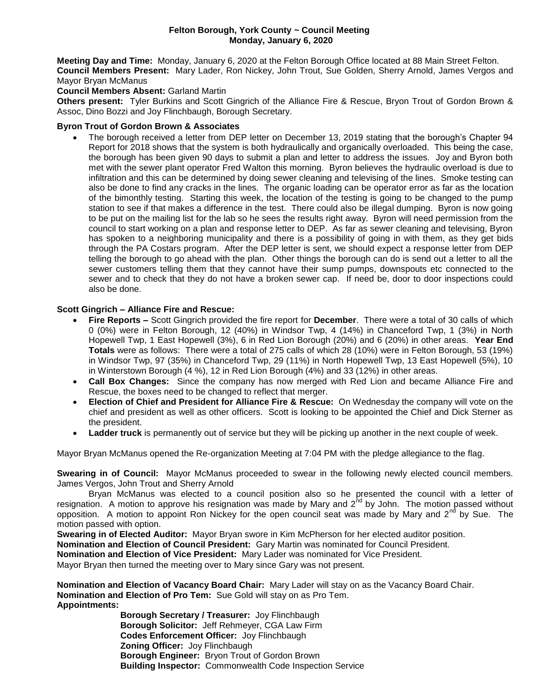#### **Felton Borough, York County ~ Council Meeting Monday, January 6, 2020**

**Meeting Day and Time:** Monday, January 6, 2020 at the Felton Borough Office located at 88 Main Street Felton. **Council Members Present:** Mary Lader, Ron Nickey, John Trout, Sue Golden, Sherry Arnold, James Vergos and Mayor Bryan McManus

## **Council Members Absent:** Garland Martin

**Others present:** Tyler Burkins and Scott Gingrich of the Alliance Fire & Rescue, Bryon Trout of Gordon Brown & Assoc, Dino Bozzi and Joy Flinchbaugh, Borough Secretary.

#### **Byron Trout of Gordon Brown & Associates**

 The borough received a letter from DEP letter on December 13, 2019 stating that the borough's Chapter 94 Report for 2018 shows that the system is both hydraulically and organically overloaded. This being the case, the borough has been given 90 days to submit a plan and letter to address the issues. Joy and Byron both met with the sewer plant operator Fred Walton this morning. Byron believes the hydraulic overload is due to infiltration and this can be determined by doing sewer cleaning and televising of the lines. Smoke testing can also be done to find any cracks in the lines. The organic loading can be operator error as far as the location of the bimonthly testing. Starting this week, the location of the testing is going to be changed to the pump station to see if that makes a difference in the test. There could also be illegal dumping. Byron is now going to be put on the mailing list for the lab so he sees the results right away. Byron will need permission from the council to start working on a plan and response letter to DEP. As far as sewer cleaning and televising, Byron has spoken to a neighboring municipality and there is a possibility of going in with them, as they get bids through the PA Costars program. After the DEP letter is sent, we should expect a response letter from DEP telling the borough to go ahead with the plan. Other things the borough can do is send out a letter to all the sewer customers telling them that they cannot have their sump pumps, downspouts etc connected to the sewer and to check that they do not have a broken sewer cap. If need be, door to door inspections could also be done.

## **Scott Gingrich – Alliance Fire and Rescue:**

- **Fire Reports –** Scott Gingrich provided the fire report for **December**. There were a total of 30 calls of which 0 (0%) were in Felton Borough, 12 (40%) in Windsor Twp, 4 (14%) in Chanceford Twp, 1 (3%) in North Hopewell Twp, 1 East Hopewell (3%), 6 in Red Lion Borough (20%) and 6 (20%) in other areas. **Year End Totals** were as follows: There were a total of 275 calls of which 28 (10%) were in Felton Borough, 53 (19%) in Windsor Twp, 97 (35%) in Chanceford Twp, 29 (11%) in North Hopewell Twp, 13 East Hopewell (5%), 10 in Winterstown Borough (4 %), 12 in Red Lion Borough (4%) and 33 (12%) in other areas.
- **Call Box Changes:** Since the company has now merged with Red Lion and became Alliance Fire and Rescue, the boxes need to be changed to reflect that merger.
- **Election of Chief and President for Alliance Fire & Rescue:** On Wednesday the company will vote on the chief and president as well as other officers. Scott is looking to be appointed the Chief and Dick Sterner as the president.
- **Ladder truck** is permanently out of service but they will be picking up another in the next couple of week.

Mayor Bryan McManus opened the Re-organization Meeting at 7:04 PM with the pledge allegiance to the flag.

**Swearing in of Council:** Mayor McManus proceeded to swear in the following newly elected council members. James Vergos, John Trout and Sherry Arnold

Bryan McManus was elected to a council position also so he presented the council with a letter of resignation. A motion to approve his resignation was made by Mary and  $2^{nd}$  by John. The motion passed without opposition. A motion to appoint Ron Nickey for the open council seat was made by Mary and  $2^{nd}$  by Sue. The motion passed with option.

**Swearing in of Elected Auditor:** Mayor Bryan swore in Kim McPherson for her elected auditor position.

**Nomination and Election of Council President:** Gary Martin was nominated for Council President.

**Nomination and Election of Vice President:** Mary Lader was nominated for Vice President.

Mayor Bryan then turned the meeting over to Mary since Gary was not present.

**Nomination and Election of Vacancy Board Chair:** Mary Lader will stay on as the Vacancy Board Chair. **Nomination and Election of Pro Tem:** Sue Gold will stay on as Pro Tem. **Appointments:** 

> **Borough Secretary / Treasurer:** Joy Flinchbaugh **Borough Solicitor:** Jeff Rehmeyer, CGA Law Firm **Codes Enforcement Officer:** Joy Flinchbaugh **Zoning Officer:** Joy Flinchbaugh **Borough Engineer:** Bryon Trout of Gordon Brown **Building Inspector:** Commonwealth Code Inspection Service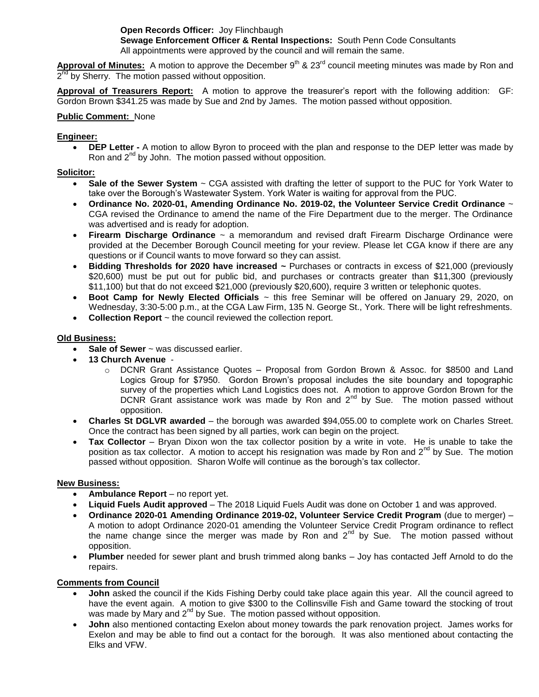# **Open Records Officer:** Joy Flinchbaugh

**Sewage Enforcement Officer & Rental Inspections:** South Penn Code Consultants All appointments were approved by the council and will remain the same.

Approval of Minutes: A motion to approve the December 9<sup>th</sup> & 23<sup>rd</sup> council meeting minutes was made by Ron and 2<sup>nd</sup> by Sherry. The motion passed without opposition.

**Approval of Treasurers Report:** A motion to approve the treasurer's report with the following addition: GF: Gordon Brown \$341.25 was made by Sue and 2nd by James. The motion passed without opposition.

## **Public Comment:** None

## **Engineer:**

 **DEP Letter -** A motion to allow Byron to proceed with the plan and response to the DEP letter was made by Ron and  $2^{nd}$  by John. The motion passed without opposition.

#### **Solicitor:**

- **Sale of the Sewer System** ~ CGA assisted with drafting the letter of support to the PUC for York Water to take over the Borough's Wastewater System. York Water is waiting for approval from the PUC.
- **Ordinance No. 2020-01, Amending Ordinance No. 2019-02, the Volunteer Service Credit Ordinance** ~ CGA revised the Ordinance to amend the name of the Fire Department due to the merger. The Ordinance was advertised and is ready for adoption.
- **Firearm Discharge Ordinance** ~ a memorandum and revised draft Firearm Discharge Ordinance were provided at the December Borough Council meeting for your review. Please let CGA know if there are any questions or if Council wants to move forward so they can assist.
- **Bidding Thresholds for 2020 have increased ~** Purchases or contracts in excess of \$21,000 (previously \$20,600) must be put out for public bid, and purchases or contracts greater than \$11,300 (previously \$11,100) but that do not exceed \$21,000 (previously \$20,600), require 3 written or telephonic quotes.
- **Boot Camp for Newly Elected Officials** ~ this free Seminar will be offered on January 29, 2020, on Wednesday, 3:30-5:00 p.m., at the CGA Law Firm, 135 N. George St., York. There will be light refreshments.
- **Collection Report** ~ the council reviewed the collection report.

## **Old Business:**

- **Sale of Sewer** ~ was discussed earlier.
- **13 Church Avenue**
	- o DCNR Grant Assistance Quotes Proposal from Gordon Brown & Assoc. for \$8500 and Land Logics Group for \$7950. Gordon Brown's proposal includes the site boundary and topographic survey of the properties which Land Logistics does not. A motion to approve Gordon Brown for the DCNR Grant assistance work was made by Ron and 2<sup>nd</sup> by Sue. The motion passed without opposition.
- **Charles St DGLVR awarded** the borough was awarded \$94,055.00 to complete work on Charles Street. Once the contract has been signed by all parties, work can begin on the project.
- **Tax Collector** Bryan Dixon won the tax collector position by a write in vote. He is unable to take the position as tax collector. A motion to accept his resignation was made by Ron and  $2<sup>nd</sup>$  by Sue. The motion passed without opposition. Sharon Wolfe will continue as the borough's tax collector.

#### **New Business:**

- **Ambulance Report** no report yet.
- **Liquid Fuels Audit approved** The 2018 Liquid Fuels Audit was done on October 1 and was approved.
- **Ordinance 2020-01 Amending Ordinance 2019-02, Volunteer Service Credit Program** (due to merger) A motion to adopt Ordinance 2020-01 amending the Volunteer Service Credit Program ordinance to reflect the name change since the merger was made by Ron and  $2<sup>nd</sup>$  by Sue. The motion passed without opposition.
- **Plumber** needed for sewer plant and brush trimmed along banks Joy has contacted Jeff Arnold to do the repairs.

#### **Comments from Council**

- **John** asked the council if the Kids Fishing Derby could take place again this year. All the council agreed to have the event again. A motion to give \$300 to the Collinsville Fish and Game toward the stocking of trout was made by Mary and  $2^{nd}$  by Sue. The motion passed without opposition.
- **John** also mentioned contacting Exelon about money towards the park renovation project. James works for Exelon and may be able to find out a contact for the borough. It was also mentioned about contacting the Elks and VFW.